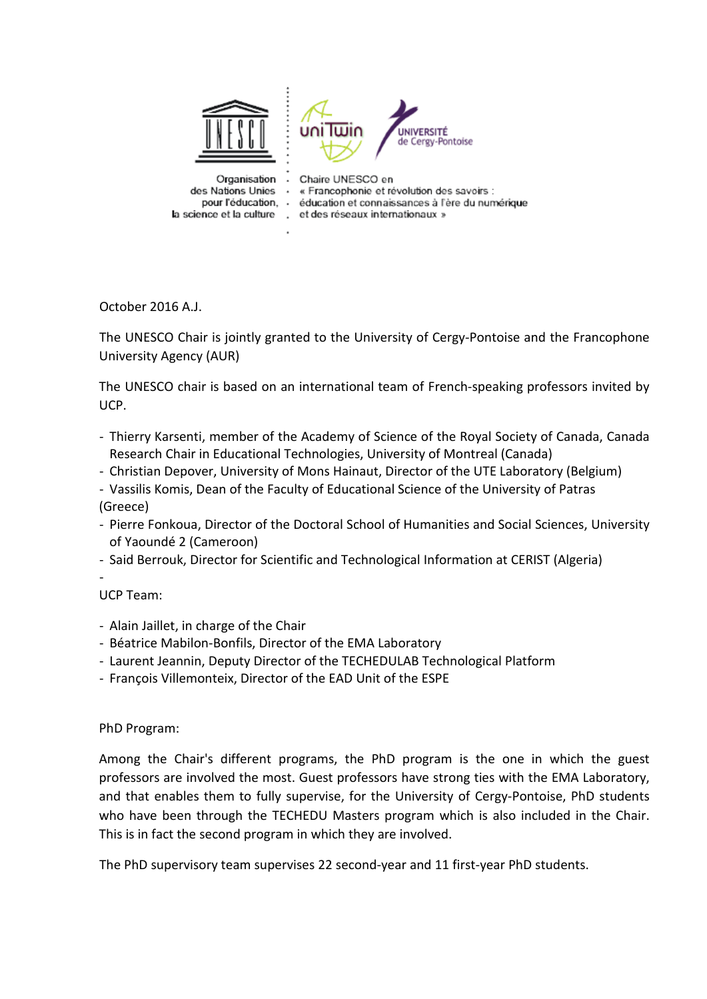

October 2016 A.J.

The UNESCO Chair is jointly granted to the University of Cergy-Pontoise and the Francophone University Agency (AUR)

The UNESCO chair is based on an international team of French-speaking professors invited by UCP.

- Thierry Karsenti, member of the Academy of Science of the Royal Society of Canada, Canada Research Chair in Educational Technologies, University of Montreal (Canada)
- Christian Depover, University of Mons Hainaut, Director of the UTE Laboratory (Belgium)
- Vassilis Komis, Dean of the Faculty of Educational Science of the University of Patras (Greece)
- Pierre Fonkoua, Director of the Doctoral School of Humanities and Social Sciences, University of Yaoundé 2 (Cameroon)
- Said Berrouk, Director for Scientific and Technological Information at CERIST (Algeria)

- UCP Team:

- Alain Jaillet, in charge of the Chair
- Béatrice Mabilon-Bonfils, Director of the EMA Laboratory
- Laurent Jeannin, Deputy Director of the TECHEDULAB Technological Platform
- François Villemonteix, Director of the EAD Unit of the ESPE

PhD Program:

Among the Chair's different programs, the PhD program is the one in which the guest professors are involved the most. Guest professors have strong ties with the EMA Laboratory, and that enables them to fully supervise, for the University of Cergy-Pontoise, PhD students who have been through the TECHEDU Masters program which is also included in the Chair. This is in fact the second program in which they are involved.

The PhD supervisory team supervises 22 second-year and 11 first-year PhD students.